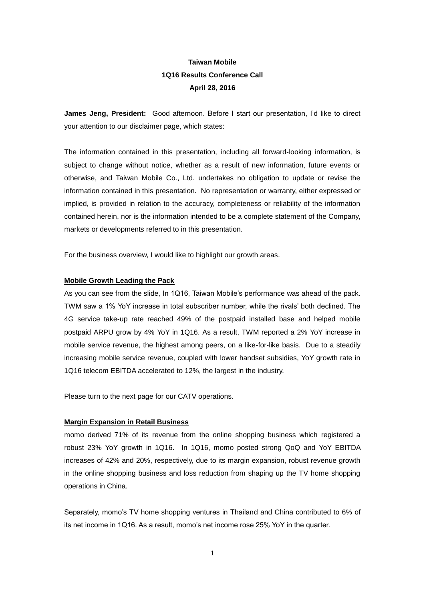# **Taiwan Mobile 1Q16 Results Conference Call April 28, 2016**

**James Jeng, President:** Good afternoon. Before I start our presentation, I'd like to direct your attention to our disclaimer page, which states:

The information contained in this presentation, including all forward-looking information, is subject to change without notice, whether as a result of new information, future events or otherwise, and Taiwan Mobile Co., Ltd. undertakes no obligation to update or revise the information contained in this presentation. No representation or warranty, either expressed or implied, is provided in relation to the accuracy, completeness or reliability of the information contained herein, nor is the information intended to be a complete statement of the Company, markets or developments referred to in this presentation.

For the business overview, I would like to highlight our growth areas.

## **Mobile Growth Leading the Pack**

As you can see from the slide, In 1Q16, Taiwan Mobile's performance was ahead of the pack. TWM saw a 1% YoY increase in total subscriber number, while the rivals' both declined. The 4G service take-up rate reached 49% of the postpaid installed base and helped mobile postpaid ARPU grow by 4% YoY in 1Q16. As a result, TWM reported a 2% YoY increase in mobile service revenue, the highest among peers, on a like-for-like basis. Due to a steadily increasing mobile service revenue, coupled with lower handset subsidies, YoY growth rate in 1Q16 telecom EBITDA accelerated to 12%, the largest in the industry.

Please turn to the next page for our CATV operations.

#### **Margin Expansion in Retail Business**

momo derived 71% of its revenue from the online shopping business which registered a robust 23% YoY growth in 1Q16. In 1Q16, momo posted strong QoQ and YoY EBITDA increases of 42% and 20%, respectively, due to its margin expansion, robust revenue growth in the online shopping business and loss reduction from shaping up the TV home shopping operations in China.

Separately, momo's TV home shopping ventures in Thailand and China contributed to 6% of its net income in 1Q16. As a result, momo's net income rose 25% YoY in the quarter.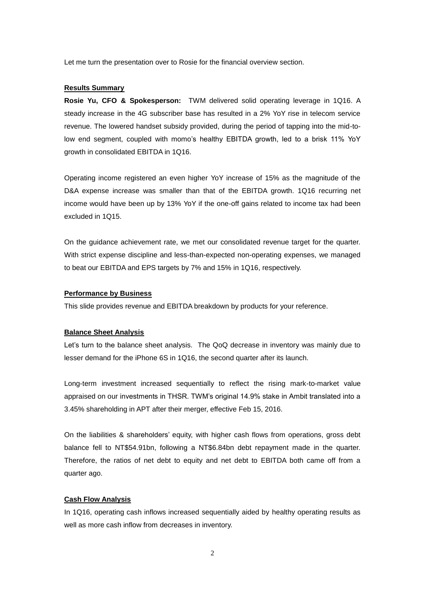Let me turn the presentation over to Rosie for the financial overview section.

## **Results Summary**

**Rosie Yu, CFO & Spokesperson:** TWM delivered solid operating leverage in 1Q16. A steady increase in the 4G subscriber base has resulted in a 2% YoY rise in telecom service revenue. The lowered handset subsidy provided, during the period of tapping into the mid-tolow end segment, coupled with momo's healthy EBITDA growth, led to a brisk 11% YoY growth in consolidated EBITDA in 1Q16.

Operating income registered an even higher YoY increase of 15% as the magnitude of the D&A expense increase was smaller than that of the EBITDA growth. 1Q16 recurring net income would have been up by 13% YoY if the one-off gains related to income tax had been excluded in 1Q15.

On the guidance achievement rate, we met our consolidated revenue target for the quarter. With strict expense discipline and less-than-expected non-operating expenses, we managed to beat our EBITDA and EPS targets by 7% and 15% in 1Q16, respectively.

## **Performance by Business**

This slide provides revenue and EBITDA breakdown by products for your reference.

## **Balance Sheet Analysis**

Let's turn to the balance sheet analysis. The QoQ decrease in inventory was mainly due to lesser demand for the iPhone 6S in 1Q16, the second quarter after its launch.

Long-term investment increased sequentially to reflect the rising mark-to-market value appraised on our investments in THSR. TWM's original 14.9% stake in Ambit translated into a 3.45% shareholding in APT after their merger, effective Feb 15, 2016.

On the liabilities & shareholders' equity, with higher cash flows from operations, gross debt balance fell to NT\$54.91bn, following a NT\$6.84bn debt repayment made in the quarter. Therefore, the ratios of net debt to equity and net debt to EBITDA both came off from a quarter ago.

#### **Cash Flow Analysis**

In 1Q16, operating cash inflows increased sequentially aided by healthy operating results as well as more cash inflow from decreases in inventory.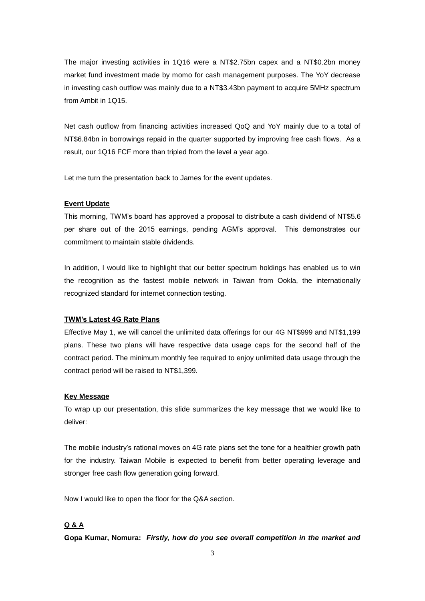The major investing activities in 1Q16 were a NT\$2.75bn capex and a NT\$0.2bn money market fund investment made by momo for cash management purposes. The YoY decrease in investing cash outflow was mainly due to a NT\$3.43bn payment to acquire 5MHz spectrum from Ambit in 1Q15.

Net cash outflow from financing activities increased QoQ and YoY mainly due to a total of NT\$6.84bn in borrowings repaid in the quarter supported by improving free cash flows. As a result, our 1Q16 FCF more than tripled from the level a year ago.

Let me turn the presentation back to James for the event updates.

#### **Event Update**

This morning, TWM's board has approved a proposal to distribute a cash dividend of NT\$5.6 per share out of the 2015 earnings, pending AGM's approval. This demonstrates our commitment to maintain stable dividends.

In addition, I would like to highlight that our better spectrum holdings has enabled us to win the recognition as the fastest mobile network in Taiwan from Ookla, the internationally recognized standard for internet connection testing.

## **TWM's Latest 4G Rate Plans**

Effective May 1, we will cancel the unlimited data offerings for our 4G NT\$999 and NT\$1,199 plans. These two plans will have respective data usage caps for the second half of the contract period. The minimum monthly fee required to enjoy unlimited data usage through the contract period will be raised to NT\$1,399.

#### **Key Message**

To wrap up our presentation, this slide summarizes the key message that we would like to deliver:

The mobile industry's rational moves on 4G rate plans set the tone for a healthier growth path for the industry. Taiwan Mobile is expected to benefit from better operating leverage and stronger free cash flow generation going forward.

Now I would like to open the floor for the Q&A section.

## **Q & A**

**Gopa Kumar, Nomura:** *Firstly, how do you see overall competition in the market and*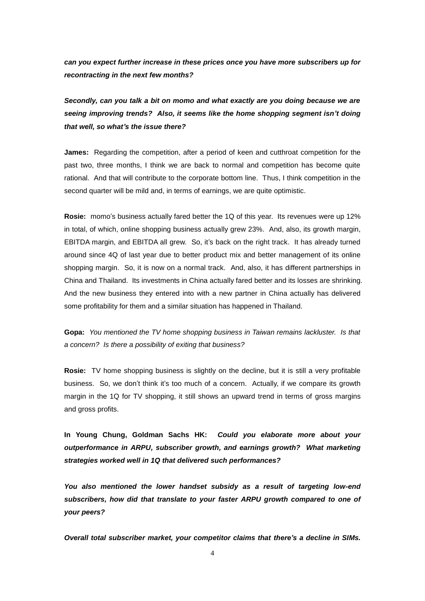*can you expect further increase in these prices once you have more subscribers up for recontracting in the next few months?*

*Secondly, can you talk a bit on momo and what exactly are you doing because we are seeing improving trends? Also, it seems like the home shopping segment isn't doing that well, so what's the issue there?*

**James:** Regarding the competition, after a period of keen and cutthroat competition for the past two, three months, I think we are back to normal and competition has become quite rational. And that will contribute to the corporate bottom line. Thus, I think competition in the second quarter will be mild and, in terms of earnings, we are quite optimistic.

**Rosie:** momo's business actually fared better the 1Q of this year. Its revenues were up 12% in total, of which, online shopping business actually grew 23%. And, also, its growth margin, EBITDA margin, and EBITDA all grew. So, it's back on the right track. It has already turned around since 4Q of last year due to better product mix and better management of its online shopping margin. So, it is now on a normal track. And, also, it has different partnerships in China and Thailand. Its investments in China actually fared better and its losses are shrinking. And the new business they entered into with a new partner in China actually has delivered some profitability for them and a similar situation has happened in Thailand.

**Gopa:** *You mentioned the TV home shopping business in Taiwan remains lackluster. Is that a concern? Is there a possibility of exiting that business?*

**Rosie:** TV home shopping business is slightly on the decline, but it is still a very profitable business. So, we don't think it's too much of a concern. Actually, if we compare its growth margin in the 1Q for TV shopping, it still shows an upward trend in terms of gross margins and gross profits.

**In Young Chung, Goldman Sachs HK:** *Could you elaborate more about your outperformance in ARPU, subscriber growth, and earnings growth? What marketing strategies worked well in 1Q that delivered such performances?*

*You also mentioned the lower handset subsidy as a result of targeting low-end subscribers, how did that translate to your faster ARPU growth compared to one of your peers?*

*Overall total subscriber market, your competitor claims that there's a decline in SIMs.*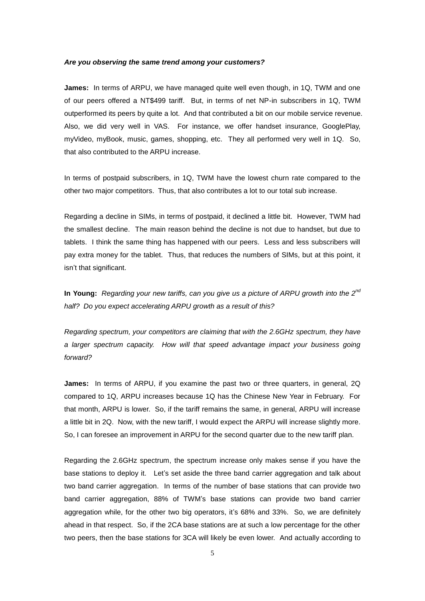## *Are you observing the same trend among your customers?*

**James:** In terms of ARPU, we have managed quite well even though, in 1Q, TWM and one of our peers offered a NT\$499 tariff. But, in terms of net NP-in subscribers in 1Q, TWM outperformed its peers by quite a lot. And that contributed a bit on our mobile service revenue. Also, we did very well in VAS. For instance, we offer handset insurance, GooglePlay, myVideo, myBook, music, games, shopping, etc. They all performed very well in 1Q. So, that also contributed to the ARPU increase.

In terms of postpaid subscribers, in 1Q, TWM have the lowest churn rate compared to the other two major competitors. Thus, that also contributes a lot to our total sub increase.

Regarding a decline in SIMs, in terms of postpaid, it declined a little bit. However, TWM had the smallest decline. The main reason behind the decline is not due to handset, but due to tablets. I think the same thing has happened with our peers. Less and less subscribers will pay extra money for the tablet. Thus, that reduces the numbers of SIMs, but at this point, it isn't that significant.

**In Young:** *Regarding your new tariffs, can you give us a picture of ARPU growth into the 2nd half? Do you expect accelerating ARPU growth as a result of this?*

*Regarding spectrum, your competitors are claiming that with the 2.6GHz spectrum, they have a larger spectrum capacity. How will that speed advantage impact your business going forward?*

**James:** In terms of ARPU, if you examine the past two or three quarters, in general, 2Q compared to 1Q, ARPU increases because 1Q has the Chinese New Year in February. For that month, ARPU is lower. So, if the tariff remains the same, in general, ARPU will increase a little bit in 2Q. Now, with the new tariff, I would expect the ARPU will increase slightly more. So, I can foresee an improvement in ARPU for the second quarter due to the new tariff plan.

Regarding the 2.6GHz spectrum, the spectrum increase only makes sense if you have the base stations to deploy it. Let's set aside the three band carrier aggregation and talk about two band carrier aggregation. In terms of the number of base stations that can provide two band carrier aggregation, 88% of TWM's base stations can provide two band carrier aggregation while, for the other two big operators, it's 68% and 33%. So, we are definitely ahead in that respect. So, if the 2CA base stations are at such a low percentage for the other two peers, then the base stations for 3CA will likely be even lower. And actually according to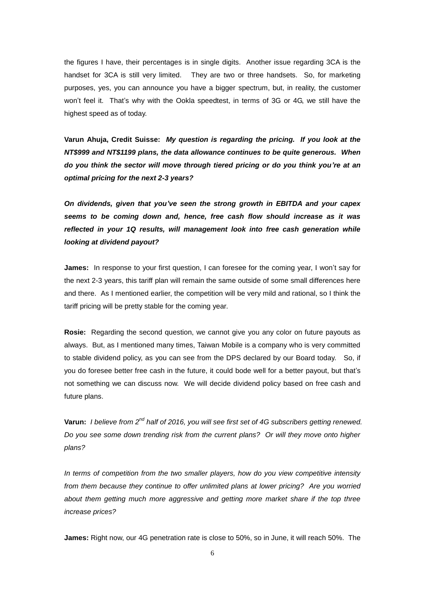the figures I have, their percentages is in single digits. Another issue regarding 3CA is the handset for 3CA is still very limited. They are two or three handsets. So, for marketing purposes, yes, you can announce you have a bigger spectrum, but, in reality, the customer won't feel it. That's why with the Ookla speedtest, in terms of 3G or 4G, we still have the highest speed as of today.

**Varun Ahuja, Credit Suisse:** *My question is regarding the pricing. If you look at the NT\$999 and NT\$1199 plans, the data allowance continues to be quite generous. When do you think the sector will move through tiered pricing or do you think you're at an optimal pricing for the next 2-3 years?*

*On dividends, given that you've seen the strong growth in EBITDA and your capex seems to be coming down and, hence, free cash flow should increase as it was reflected in your 1Q results, will management look into free cash generation while looking at dividend payout?*

**James:** In response to your first question, I can foresee for the coming year, I won't say for the next 2-3 years, this tariff plan will remain the same outside of some small differences here and there. As I mentioned earlier, the competition will be very mild and rational, so I think the tariff pricing will be pretty stable for the coming year.

**Rosie:** Regarding the second question, we cannot give you any color on future payouts as always. But, as I mentioned many times, Taiwan Mobile is a company who is very committed to stable dividend policy, as you can see from the DPS declared by our Board today. So, if you do foresee better free cash in the future, it could bode well for a better payout, but that's not something we can discuss now. We will decide dividend policy based on free cash and future plans.

**Varun:** *I believe from 2nd half of 2016, you will see first set of 4G subscribers getting renewed. Do you see some down trending risk from the current plans? Or will they move onto higher plans?*

*In terms of competition from the two smaller players, how do you view competitive intensity from them because they continue to offer unlimited plans at lower pricing? Are you worried about them getting much more aggressive and getting more market share if the top three increase prices?*

**James:** Right now, our 4G penetration rate is close to 50%, so in June, it will reach 50%. The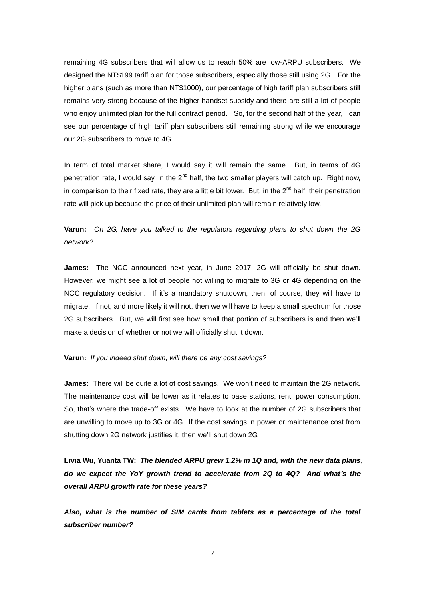remaining 4G subscribers that will allow us to reach 50% are low-ARPU subscribers. We designed the NT\$199 tariff plan for those subscribers, especially those still using 2G. For the higher plans (such as more than NT\$1000), our percentage of high tariff plan subscribers still remains very strong because of the higher handset subsidy and there are still a lot of people who enjoy unlimited plan for the full contract period. So, for the second half of the year, I can see our percentage of high tariff plan subscribers still remaining strong while we encourage our 2G subscribers to move to 4G.

In term of total market share, I would say it will remain the same. But, in terms of 4G penetration rate, I would say, in the  $2<sup>nd</sup>$  half, the two smaller players will catch up. Right now, in comparison to their fixed rate, they are a little bit lower. But, in the  $2^{nd}$  half, their penetration rate will pick up because the price of their unlimited plan will remain relatively low.

## **Varun:** *On 2G, have you talked to the regulators regarding plans to shut down the 2G network?*

**James:** The NCC announced next year, in June 2017, 2G will officially be shut down. However, we might see a lot of people not willing to migrate to 3G or 4G depending on the NCC regulatory decision. If it's a mandatory shutdown, then, of course, they will have to migrate. If not, and more likely it will not, then we will have to keep a small spectrum for those 2G subscribers. But, we will first see how small that portion of subscribers is and then we'll make a decision of whether or not we will officially shut it down.

## **Varun:** *If you indeed shut down, will there be any cost savings?*

**James:** There will be quite a lot of cost savings. We won't need to maintain the 2G network. The maintenance cost will be lower as it relates to base stations, rent, power consumption. So, that's where the trade-off exists. We have to look at the number of 2G subscribers that are unwilling to move up to 3G or 4G. If the cost savings in power or maintenance cost from shutting down 2G network justifies it, then we'll shut down 2G.

**Livia Wu, Yuanta TW:** *The blended ARPU grew 1.2% in 1Q and, with the new data plans, do we expect the YoY growth trend to accelerate from 2Q to 4Q? And what's the overall ARPU growth rate for these years?*

*Also, what is the number of SIM cards from tablets as a percentage of the total subscriber number?*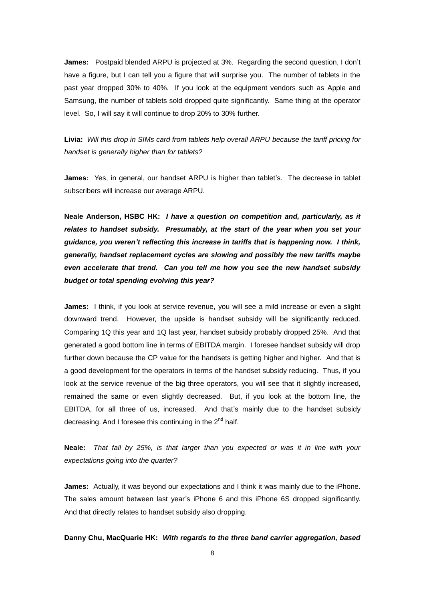**James:** Postpaid blended ARPU is projected at 3%. Regarding the second question, I don't have a figure, but I can tell you a figure that will surprise you. The number of tablets in the past year dropped 30% to 40%. If you look at the equipment vendors such as Apple and Samsung, the number of tablets sold dropped quite significantly. Same thing at the operator level. So, I will say it will continue to drop 20% to 30% further.

**Livia:** *Will this drop in SIMs card from tablets help overall ARPU because the tariff pricing for handset is generally higher than for tablets?*

**James:** Yes, in general, our handset ARPU is higher than tablet's. The decrease in tablet subscribers will increase our average ARPU.

**Neale Anderson, HSBC HK:** *I have a question on competition and, particularly, as it relates to handset subsidy. Presumably, at the start of the year when you set your guidance, you weren't reflecting this increase in tariffs that is happening now. I think, generally, handset replacement cycles are slowing and possibly the new tariffs maybe even accelerate that trend. Can you tell me how you see the new handset subsidy budget or total spending evolving this year?* 

**James:** I think, if you look at service revenue, you will see a mild increase or even a slight downward trend. However, the upside is handset subsidy will be significantly reduced. Comparing 1Q this year and 1Q last year, handset subsidy probably dropped 25%. And that generated a good bottom line in terms of EBITDA margin. I foresee handset subsidy will drop further down because the CP value for the handsets is getting higher and higher. And that is a good development for the operators in terms of the handset subsidy reducing. Thus, if you look at the service revenue of the big three operators, you will see that it slightly increased, remained the same or even slightly decreased. But, if you look at the bottom line, the EBITDA, for all three of us, increased. And that's mainly due to the handset subsidy decreasing. And I foresee this continuing in the  $2^{nd}$  half.

**Neale:** *That fall by 25%, is that larger than you expected or was it in line with your expectations going into the quarter?*

**James:** Actually, it was beyond our expectations and I think it was mainly due to the iPhone. The sales amount between last year's iPhone 6 and this iPhone 6S dropped significantly. And that directly relates to handset subsidy also dropping.

**Danny Chu, MacQuarie HK:** *With regards to the three band carrier aggregation, based*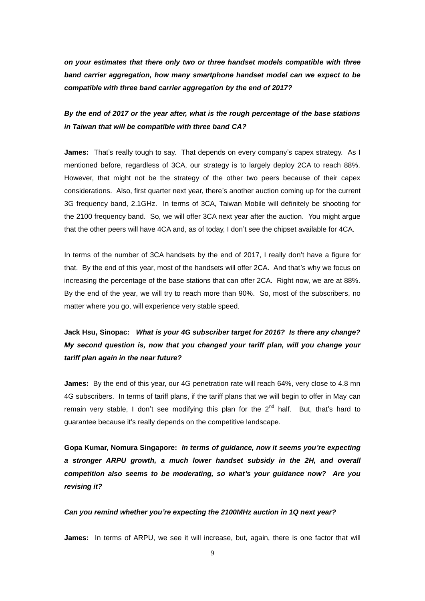*on your estimates that there only two or three handset models compatible with three band carrier aggregation, how many smartphone handset model can we expect to be compatible with three band carrier aggregation by the end of 2017?*

*By the end of 2017 or the year after, what is the rough percentage of the base stations in Taiwan that will be compatible with three band CA?* 

**James:** That's really tough to say. That depends on every company's capex strategy. As I mentioned before, regardless of 3CA, our strategy is to largely deploy 2CA to reach 88%. However, that might not be the strategy of the other two peers because of their capex considerations. Also, first quarter next year, there's another auction coming up for the current 3G frequency band, 2.1GHz. In terms of 3CA, Taiwan Mobile will definitely be shooting for the 2100 frequency band. So, we will offer 3CA next year after the auction. You might argue that the other peers will have 4CA and, as of today, I don't see the chipset available for 4CA.

In terms of the number of 3CA handsets by the end of 2017, I really don't have a figure for that. By the end of this year, most of the handsets will offer 2CA. And that's why we focus on increasing the percentage of the base stations that can offer 2CA. Right now, we are at 88%. By the end of the year, we will try to reach more than 90%. So, most of the subscribers, no matter where you go, will experience very stable speed.

# **Jack Hsu, Sinopac:** *What is your 4G subscriber target for 2016? Is there any change? My second question is, now that you changed your tariff plan, will you change your tariff plan again in the near future?*

**James:** By the end of this year, our 4G penetration rate will reach 64%, very close to 4.8 mn 4G subscribers. In terms of tariff plans, if the tariff plans that we will begin to offer in May can remain very stable, I don't see modifying this plan for the  $2^{nd}$  half. But, that's hard to guarantee because it's really depends on the competitive landscape.

**Gopa Kumar, Nomura Singapore:** *In terms of guidance, now it seems you're expecting a stronger ARPU growth, a much lower handset subsidy in the 2H, and overall competition also seems to be moderating, so what's your guidance now? Are you revising it?*

## *Can you remind whether you're expecting the 2100MHz auction in 1Q next year?*

**James:** In terms of ARPU, we see it will increase, but, again, there is one factor that will